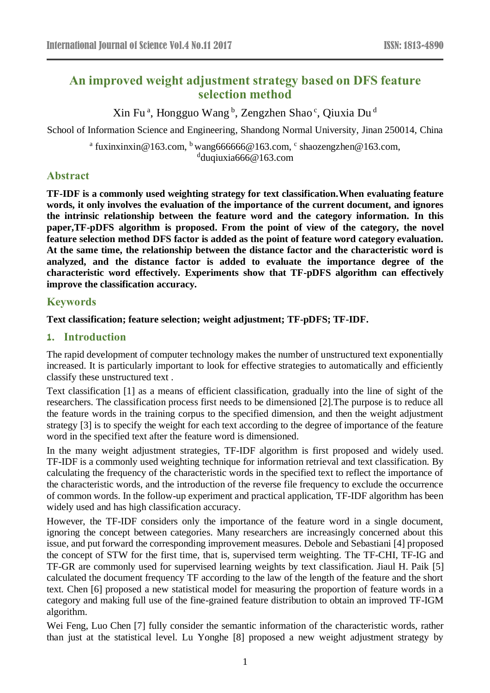# **An improved weight adjustment strategy based on DFS feature selection method**

Xin Fuª, Hongguo Wang b, Zengzhen Shao c, Qiuxia Du d

School of Information Science and Engineering, Shandong Normal University, Jinan 250014, China

<sup>a</sup> fuxinxinxin@163.com, <sup>b</sup> wang666666@163.com, <sup>c</sup> shaozengzhen@163.com, d duqiuxia666@163.com

# **Abstract**

**TF-IDF is a commonly used weighting strategy for text classification.When evaluating feature words, it only involves the evaluation of the importance of the current document, and ignores the intrinsic relationship between the feature word and the category information. In this paper,TF-pDFS algorithm is proposed. From the point of view of the category, the novel feature selection method DFS factor is added as the point of feature word category evaluation. At the same time, the relationship between the distance factor and the characteristic word is analyzed, and the distance factor is added to evaluate the importance degree of the characteristic word effectively. Experiments show that TF-pDFS algorithm can effectively improve the classification accuracy.**

## **Keywords**

## **Text classification; feature selection; weight adjustment; TF-pDFS; TF-IDF.**

## **1. Introduction**

The rapid development of computer technology makes the number of unstructured text exponentially increased. It is particularly important to look for effective strategies to automatically and efficiently classify these unstructured text .

Text classification [1] as a means of efficient classification, gradually into the line of sight of the researchers. The classification process first needs to be dimensioned [2].The purpose is to reduce all the feature words in the training corpus to the specified dimension, and then the weight adjustment strategy [3] is to specify the weight for each text according to the degree of importance of the feature word in the specified text after the feature word is dimensioned.

In the many weight adjustment strategies, TF-IDF algorithm is first proposed and widely used. TF-IDF is a commonly used weighting technique for information retrieval and text classification. By calculating the frequency of the characteristic words in the specified text to reflect the importance of the characteristic words, and the introduction of the reverse file frequency to exclude the occurrence of common words. In the follow-up experiment and practical application, TF-IDF algorithm has been widely used and has high classification accuracy.

However, the TF-IDF considers only the importance of the feature word in a single document, ignoring the concept between categories. Many researchers are increasingly concerned about this issue, and put forward the corresponding improvement measures. Debole and Sebastiani [4] proposed the concept of STW for the first time, that is, supervised term weighting. The TF-CHI, TF-IG and TF-GR are commonly used for supervised learning weights by text classification. Jiaul H. Paik [5] calculated the document frequency TF according to the law of the length of the feature and the short text. Chen [6] proposed a new statistical model for measuring the proportion of feature words in a category and making full use of the fine-grained feature distribution to obtain an improved TF-IGM algorithm.

Wei Feng, Luo Chen [7] fully consider the semantic information of the characteristic words, rather than just at the statistical level. Lu Yonghe [8] proposed a new weight adjustment strategy by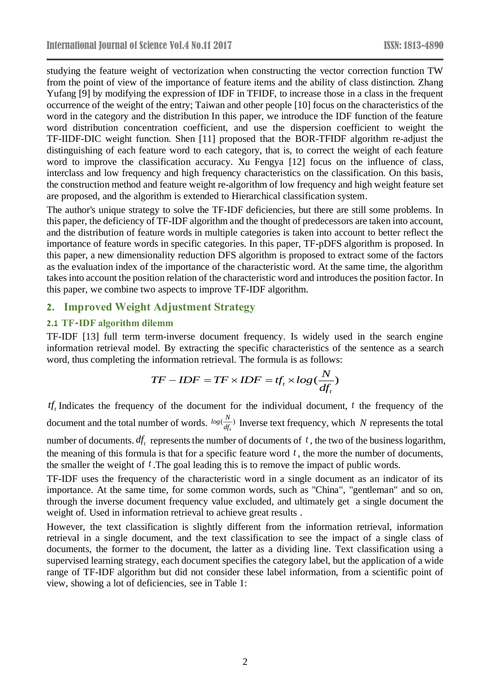studying the feature weight of vectorization when constructing the vector correction function TW from the point of view of the importance of feature items and the ability of class distinction. Zhang Yufang [9] by modifying the expression of IDF in TFIDF, to increase those in a class in the frequent occurrence of the weight of the entry; Taiwan and other people [10] focus on the characteristics of the word in the category and the distribution In this paper, we introduce the IDF function of the feature word distribution concentration coefficient, and use the dispersion coefficient to weight the TF-IIDF-DIC weight function. Shen [11] proposed that the BOR-TFIDF algorithm re-adjust the distinguishing of each feature word to each category, that is, to correct the weight of each feature word to improve the classification accuracy. Xu Fengya [12] focus on the influence of class, interclass and low frequency and high frequency characteristics on the classification. On this basis, the construction method and feature weight re-algorithm of low frequency and high weight feature set are proposed, and the algorithm is extended to Hierarchical classification system.

The author's unique strategy to solve the TF-IDF deficiencies, but there are still some problems. In this paper, the deficiency of TF-IDF algorithm and the thought of predecessors are taken into account, and the distribution of feature words in multiple categories is taken into account to better reflect the importance of feature words in specific categories. In this paper, TF-pDFS algorithm is proposed. In this paper, a new dimensionality reduction DFS algorithm is proposed to extract some of the factors as the evaluation index of the importance of the characteristic word. At the same time, the algorithm takes into account the position relation of the characteristic word and introduces the position factor. In this paper, we combine two aspects to improve TF-IDF algorithm.

## **2. Improved Weight Adjustment Strategy**

### **2.1 TF-IDF algorithm dilemm**

TF-IDF [13] full term term-inverse document frequency. Is widely used in the search engine information retrieval model. By extracting the specific characteristics of the sentence as a search word, thus completing the information retrieval. The formula is as follows:

$$
TF - IDF = TF \times IDF = tf_r \times log(\frac{N}{df_t})
$$

*tf*<sub>t</sub> Indicates the frequency of the document for the individual document,  $t$  the frequency of the document and the total number of words.  $log(\frac{R}{df_k})$  $log(\frac{N}{df_k})$  Inverse text frequency, which *N* represents the total number of documents.  $df_t$  represents the number of documents of  $t$ , the two of the business logarithm,

the meaning of this formula is that for a specific feature word *t* , the more the number of documents, the smaller the weight of *<sup>t</sup>* .The goal leading this is to remove the impact of public words.

TF-IDF uses the frequency of the characteristic word in a single document as an indicator of its importance. At the same time, for some common words, such as "China", "gentleman" and so on, through the inverse document frequency value excluded, and ultimately get a single document the weight of. Used in information retrieval to achieve great results .

However, the text classification is slightly different from the information retrieval, information retrieval in a single document, and the text classification to see the impact of a single class of documents, the former to the document, the latter as a dividing line. Text classification using a supervised learning strategy, each document specifies the category label, but the application of a wide range of TF-IDF algorithm but did not consider these label information, from a scientific point of view, showing a lot of deficiencies, see in Table 1: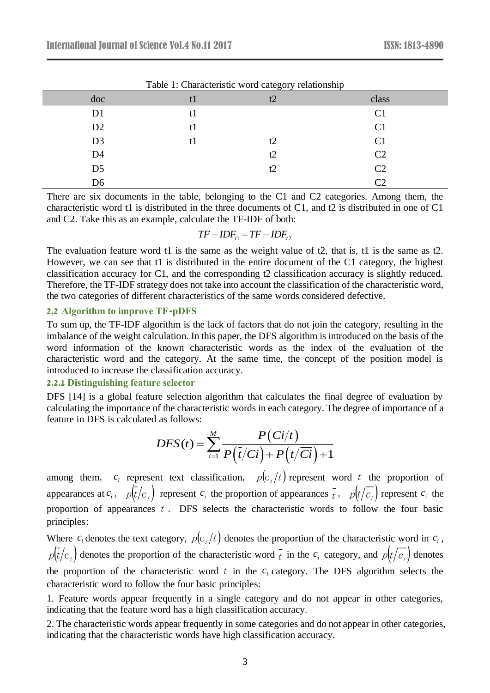| doc            | tl | t2 | class          |
|----------------|----|----|----------------|
| D1             | t1 |    | C <sub>1</sub> |
| D <sub>2</sub> | t1 |    | C <sub>1</sub> |
| D <sub>3</sub> | tl | t2 | C <sub>1</sub> |
| D <sub>4</sub> |    | t2 | C <sub>2</sub> |
| D <sub>5</sub> |    | t2 | C <sub>2</sub> |
| D <sub>6</sub> |    |    | $\mathcal{C}$  |

Table 1: Characteristic word category relationship

There are six documents in the table, belonging to the C1 and C2 categories. Among them, the characteristic word t1 is distributed in the three documents of C1, and t2 is distributed in one of C1 and C2. Take this as an example, calculate the TF-IDF of both:

$$
TF - IDF_{t1} = TF - IDF_{t2}
$$

The evaluation feature word t1 is the same as the weight value of t2, that is, t1 is the same as t2. However, we can see that t1 is distributed in the entire document of the C1 category, the highest classification accuracy for C1, and the corresponding t2 classification accuracy is slightly reduced. Therefore, the TF-IDF strategy does not take into account the classification of the characteristic word, the two categories of different characteristics of the same words considered defective.

#### **2.2 Algorithm to improve TF-pDFS**

To sum up, the TF-IDF algorithm is the lack of factors that do not join the category, resulting in the imbalance of the weight calculation. In this paper, the DFS algorithm is introduced on the basis of the word information of the known characteristic words as the index of the evaluation of the characteristic word and the category. At the same time, the concept of the position model is introduced to increase the classification accuracy.

### **2.2.1 Distinguishing feature selector**

DFS [14] is a global feature selection algorithm that calculates the final degree of evaluation by calculating the importance of the characteristic words in each category. The degree of importance of a feature in DFS is calculated as follows:

$$
DFS(t) = \sum_{i=1}^{M} \frac{P\left(Ci/t\right)}{P\left(\overline{t}/Ci\right) + P\left(t/\overline{Ci}\right) + 1}
$$

among them,  $c_i$  represent text classification,  $p(c_i/t)$  represent word t the proportion of appearances at  $c_i$ ,  $p(\bar{t}/c_j)$  represent  $c_i$  the proportion of appearances  $\bar{t}$ ,  $p(\bar{t}/c_j)$  represent  $c_i$  the proportion of appearances  $t$ . DFS selects the characteristic words to follow the four basic principles:

Where  $c_i$  denotes the text category,  $p(c_i/t)$  denotes the proportion of the characteristic word in  $c_i$ ,  $p(t/c_i)$  denotes the proportion of the characteristic word  $\bar{t}$  in the  $c_i$  category, and  $p(t/c_i)$  denotes the proportion of the characteristic word  $t$  in the  $c_i$  category. The DFS algorithm selects the characteristic word to follow the four basic principles:

1. Feature words appear frequently in a single category and do not appear in other categories, indicating that the feature word has a high classification accuracy.

2. The characteristic words appear frequently in some categories and do not appear in other categories, indicating that the characteristic words have high classification accuracy.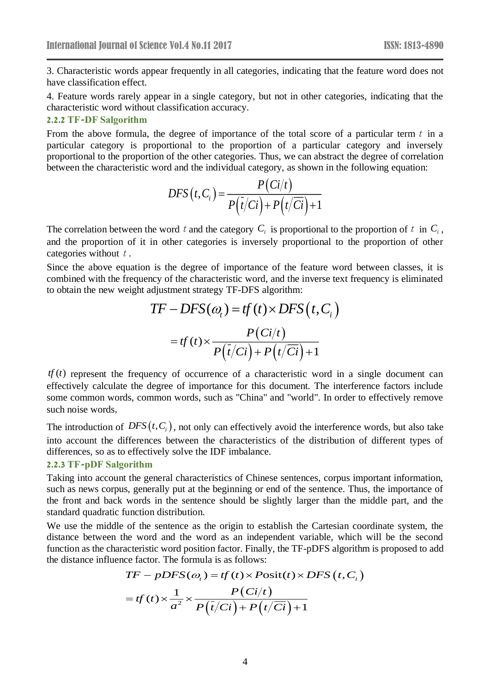3. Characteristic words appear frequently in all categories, indicating that the feature word does not have classification effect.

4. Feature words rarely appear in a single category, but not in other categories, indicating that the characteristic word without classification accuracy.

### **2.2.2 TF-DF Salgorithm**

From the above formula, the degree of importance of the total score of a particular term  $t$  in a particular category is proportional to the proportion of a particular category and inversely proportional to the proportion of the other categories. Thus, we can abstract the degree of correlation between the characteristic word and the individual category, as shown in the following equation:

$$
DFS(t, C_i) = \frac{P(Ci/t)}{P(\overline{t}/Ci) + P(\overline{t}/\overline{Ci}) + 1}
$$

The correlation between the word t and the category  $C_i$  is proportional to the proportion of t in  $C_i$ , and the proportion of it in other categories is inversely proportional to the proportion of other categories without  $t$ .

Since the above equation is the degree of importance of the feature word between classes, it is combined with the frequency of the characteristic word, and the inverse text frequency is eliminated to obtain the new weight adjustment strategy TF-DFS algorithm:

$$
TF - DFS(\omega_t) = tf(t) \times DFS(t, C_i)
$$

$$
= tf(t) \times \frac{P(Ci/t)}{P(\bar{t}/Ci) + P(t/\overline{Ci}) + 1}
$$

 $tf(t)$  represent the frequency of occurrence of a characteristic word in a single document can effectively calculate the degree of importance for this document. The interference factors include some common words, common words, such as "China" and "world". In order to effectively remove such noise words,

The introduction of  $DFS(t, C_i)$ , not only can effectively avoid the interference words, but also take into account the differences between the characteristics of the distribution of different types of differences, so as to effectively solve the IDF imbalance.

#### **2.2.3 TF-pDF Salgorithm**

Taking into account the general characteristics of Chinese sentences, corpus important information, such as news corpus, generally put at the beginning or end of the sentence. Thus, the importance of the front and back words in the sentence should be slightly larger than the middle part, and the standard quadratic function distribution.

We use the middle of the sentence as the origin to establish the Cartesian coordinate system, the distance between the word and the word as an independent variable, which will be the second function as the characteristic word position factor. Finally, the TF-pDFS algorithm is proposed to add the distance influence factor. The formula is as follows:

$$
TF - pDFS(\omega_t) = tf(t) \times Post(t) \times DFS(t, C_i)
$$
  
= tf(t) \times  $\frac{1}{a^2}$  \times  $\frac{P(Ci/t)}{P(i/Ci) + P(t/Ci) + 1}$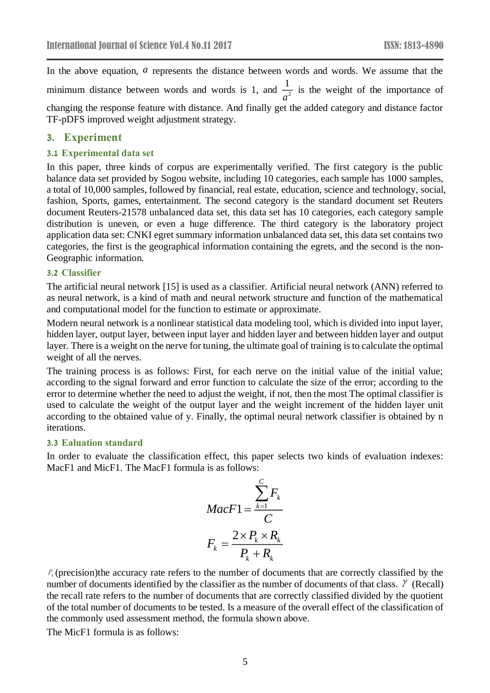In the above equation, *a* represents the distance between words and words. We assume that the minimum distance between words and words is 1, and  $\frac{1}{\sqrt{2}}$ 1  $\frac{1}{a^2}$  is the weight of the importance of changing the response feature with distance. And finally get the added category and distance factor TF-pDFS improved weight adjustment strategy.

### **3. Experiment**

#### **3.1 Experimental data set**

In this paper, three kinds of corpus are experimentally verified. The first category is the public balance data set provided by Sogou website, including 10 categories, each sample has 1000 samples, a total of 10,000 samples, followed by financial, real estate, education, science and technology, social, fashion, Sports, games, entertainment. The second category is the standard document set Reuters document Reuters-21578 unbalanced data set, this data set has 10 categories, each category sample distribution is uneven, or even a huge difference. The third category is the laboratory project application data set: CNKI egret summary information unbalanced data set, this data set contains two categories, the first is the geographical information containing the egrets, and the second is the non-Geographic information.

#### **3.2 Classifier**

The artificial neural network [15] is used as a classifier. Artificial neural network (ANN) referred to as neural network, is a kind of math and neural network structure and function of the mathematical and computational model for the function to estimate or approximate.

Modern neural network is a nonlinear statistical data modeling tool, which is divided into input layer, hidden layer, output layer, between input layer and hidden layer and between hidden layer and output layer. There is a weight on the nerve for tuning, the ultimate goal of training is to calculate the optimal weight of all the nerves.

The training process is as follows: First, for each nerve on the initial value of the initial value; according to the signal forward and error function to calculate the size of the error; according to the error to determine whether the need to adjust the weight, if not, then the most The optimal classifier is used to calculate the weight of the output layer and the weight increment of the hidden layer unit according to the obtained value of y. Finally, the optimal neural network classifier is obtained by n iterations.

#### **3.3 Ealuation standard**

In order to evaluate the classification effect, this paper selects two kinds of evaluation indexes: MacF1 and MicF1. The MacF1 formula is as follows:

$$
MacF1 = \frac{\sum_{k=1}^{C} F_k}{C}
$$

$$
F_k = \frac{2 \times P_k \times R_k}{P_k + R_k}
$$

 $P_k$  (precision)the accuracy rate refers to the number of documents that are correctly classified by the number of documents identified by the classifier as the number of documents of that class.  $\gamma$  (Recall) the recall rate refers to the number of documents that are correctly classified divided by the quotient of the total number of documents to be tested. Is a measure of the overall effect of the classification of the commonly used assessment method, the formula shown above.

The MicF1 formula is as follows: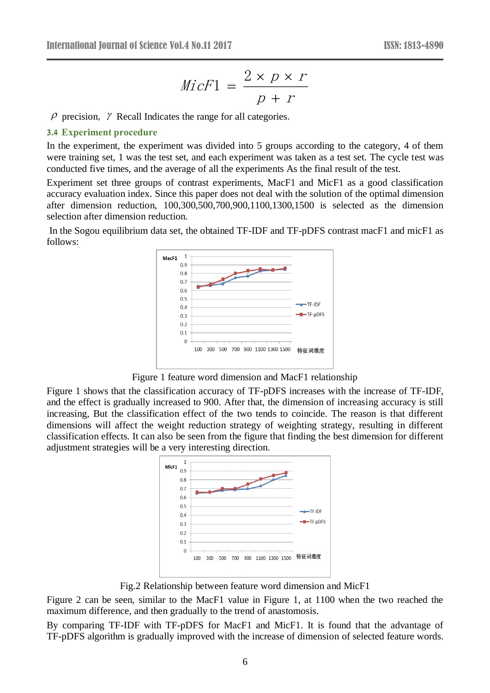$$
MicF1 = \frac{2 \times p \times r}{p + r}
$$

 $\rho$  precision,  $\gamma$  Recall Indicates the range for all categories.

#### **3.4 Experiment procedure**

In the experiment, the experiment was divided into 5 groups according to the category, 4 of them were training set, 1 was the test set, and each experiment was taken as a test set. The cycle test was conducted five times, and the average of all the experiments As the final result of the test.

Experiment set three groups of contrast experiments, MacF1 and MicF1 as a good classification accuracy evaluation index. Since this paper does not deal with the solution of the optimal dimension after dimension reduction, 100,300,500,700,900,1100,1300,1500 is selected as the dimension selection after dimension reduction.

In the Sogou equilibrium data set, the obtained TF-IDF and TF-pDFS contrast macF1 and micF1 as follows:



Figure 1 feature word dimension and MacF1 relationship

Figure 1 shows that the classification accuracy of TF-pDFS increases with the increase of TF-IDF, and the effect is gradually increased to 900. After that, the dimension of increasing accuracy is still increasing, But the classification effect of the two tends to coincide. The reason is that different dimensions will affect the weight reduction strategy of weighting strategy, resulting in different classification effects. It can also be seen from the figure that finding the best dimension for different adjustment strategies will be a very interesting direction.



Fig.2 Relationship between feature word dimension and MicF1

Figure 2 can be seen, similar to the MacF1 value in Figure 1, at 1100 when the two reached the maximum difference, and then gradually to the trend of anastomosis.

By comparing TF-IDF with TF-pDFS for MacF1 and MicF1. It is found that the advantage of TF-pDFS algorithm is gradually improved with the increase of dimension of selected feature words.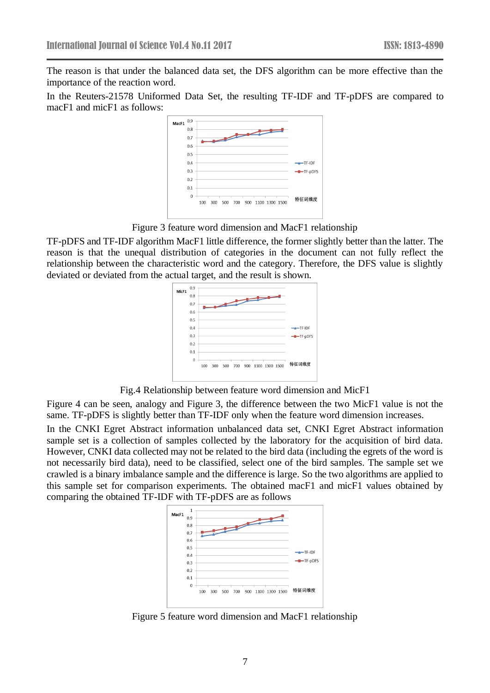The reason is that under the balanced data set, the DFS algorithm can be more effective than the importance of the reaction word.

In the Reuters-21578 Uniformed Data Set, the resulting TF-IDF and TF-pDFS are compared to macF1 and micF1 as follows:



Figure 3 feature word dimension and MacF1 relationship

TF-pDFS and TF-IDF algorithm MacF1 little difference, the former slightly better than the latter. The reason is that the unequal distribution of categories in the document can not fully reflect the relationship between the characteristic word and the category. Therefore, the DFS value is slightly deviated or deviated from the actual target, and the result is shown.

| MicF1 | 0.9 |                                                                                                                                                                                                                                |            |
|-------|-----|--------------------------------------------------------------------------------------------------------------------------------------------------------------------------------------------------------------------------------|------------|
|       | 0.8 |                                                                                                                                                                                                                                |            |
|       | 0.7 | and the contract of the contract of the contract of the contract of the contract of the contract of the contract of the contract of the contract of the contract of the contract of the contract of the contract of the contra |            |
|       | 0.6 |                                                                                                                                                                                                                                |            |
|       | 0.5 |                                                                                                                                                                                                                                |            |
|       | 0.4 |                                                                                                                                                                                                                                | $+$ TF-IDF |
|       | 0.3 |                                                                                                                                                                                                                                | -TF-pDFS   |
|       | 0.2 |                                                                                                                                                                                                                                |            |
|       | 0.1 |                                                                                                                                                                                                                                |            |
|       | 0   |                                                                                                                                                                                                                                |            |
|       |     | 500 700 900 1100 1300 1500<br>100<br>300                                                                                                                                                                                       | 特征词维度      |
|       |     |                                                                                                                                                                                                                                |            |
|       |     |                                                                                                                                                                                                                                |            |

Fig.4 Relationship between feature word dimension and MicF1

Figure 4 can be seen, analogy and Figure 3, the difference between the two MicF1 value is not the same. TF-pDFS is slightly better than TF-IDF only when the feature word dimension increases.

In the CNKI Egret Abstract information unbalanced data set, CNKI Egret Abstract information sample set is a collection of samples collected by the laboratory for the acquisition of bird data. However, CNKI data collected may not be related to the bird data (including the egrets of the word is not necessarily bird data), need to be classified, select one of the bird samples. The sample set we crawled is a binary imbalance sample and the difference is large. So the two algorithms are applied to this sample set for comparison experiments. The obtained macF1 and micF1 values obtained by comparing the obtained TF-IDF with TF-pDFS are as follows



Figure 5 feature word dimension and MacF1 relationship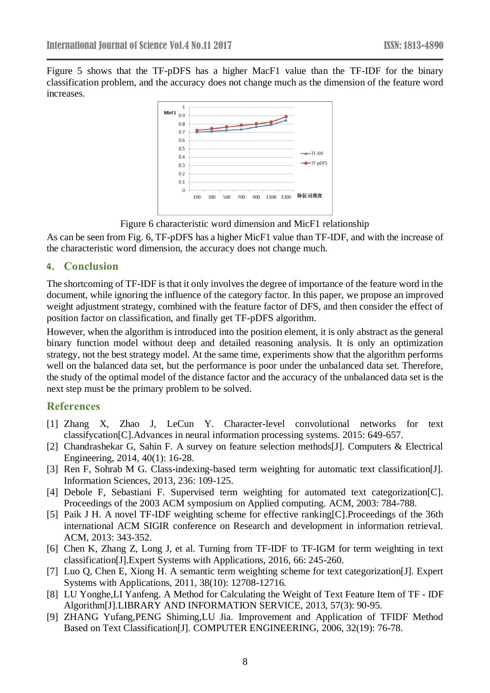Figure 5 shows that the TF-pDFS has a higher MacF1 value than the TF-IDF for the binary classification problem, and the accuracy does not change much as the dimension of the feature word increases.



Figure 6 characteristic word dimension and MicF1 relationship

As can be seen from Fig. 6, TF-pDFS has a higher MicF1 value than TF-IDF, and with the increase of the characteristic word dimension, the accuracy does not change much.

# **4. Conclusion**

The shortcoming of TF-IDF is that it only involves the degree of importance of the feature word in the document, while ignoring the influence of the category factor. In this paper, we propose an improved weight adjustment strategy, combined with the feature factor of DFS, and then consider the effect of position factor on classification, and finally get TF-pDFS algorithm.

However, when the algorithm is introduced into the position element, it is only abstract as the general binary function model without deep and detailed reasoning analysis. It is only an optimization strategy, not the best strategy model. At the same time, experiments show that the algorithm performs well on the balanced data set, but the performance is poor under the unbalanced data set. Therefore, the study of the optimal model of the distance factor and the accuracy of the unbalanced data set is the next step must be the primary problem to be solved.

# **References**

- [1] Zhang X, Zhao J, LeCun Y. Character-level convolutional networks for text classifycation[C].Advances in neural information processing systems. 2015: 649-657.
- [2] Chandrashekar G, Sahin F. A survey on feature selection methods[J]. Computers & Electrical Engineering, 2014, 40(1): 16-28.
- [3] Ren F, Sohrab M G. Class-indexing-based term weighting for automatic text classification[J]. Information Sciences, 2013, 236: 109-125.
- [4] Debole F, Sebastiani F. Supervised term weighting for automated text categorization[C]. Proceedings of the 2003 ACM symposium on Applied computing. ACM, 2003: 784-788.
- [5] Paik J H. A novel TF-IDF weighting scheme for effective ranking[C].Proceedings of the 36th international ACM SIGIR conference on Research and development in information retrieval. ACM, 2013: 343-352.
- [6] Chen K, Zhang Z, Long J, et al. Turning from TF-IDF to TF-IGM for term weighting in text classification[J].Expert Systems with Applications, 2016, 66: 245-260.
- [7] Luo Q, Chen E, Xiong H. A semantic term weighting scheme for text categorization[J]. Expert Systems with Applications, 2011, 38(10): 12708-12716.
- [8] LU Yonghe,LI Yanfeng. A Method for Calculating the Weight of Text Feature Item of TF IDF Algorithm[J].LIBRARY AND INFORMATION SERVICE, 2013, 57(3): 90-95.
- [9] ZHANG Yufang,PENG Shiming,LU Jia. Improvement and Application of TFIDF Method Based on Text Classification[J]. COMPUTER ENGINEERING, 2006, 32(19): 76-78.